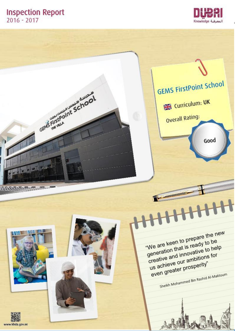# **Inspection Report**<br>2016 - 2017



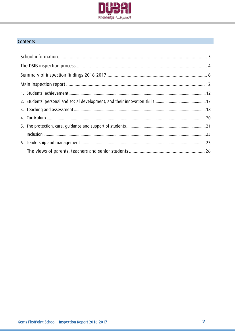

## Contents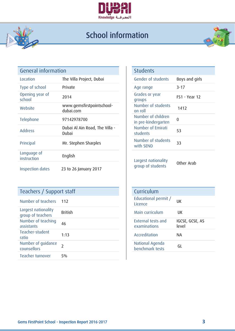

# School information

j



| General information        |                                         | <b>Students</b>                           |                |
|----------------------------|-----------------------------------------|-------------------------------------------|----------------|
| Location                   | The Villa Project, Dubai                | Gender of students                        | Boys and girls |
| Type of school             | Private                                 | Age range                                 | $3 - 17$       |
| Opening year of<br>school  | 2014                                    | Grades or year<br>groups                  | FS1 - Year 12  |
| Website                    | www.gemsfirstpointschool-<br>dubai.com  | Number of students<br>on roll             | 1412           |
| Telephone                  | 97142978700                             | Number of children<br>in pre-kindergarten | $\mathbf 0$    |
| <b>Address</b>             | Dubai Al Ain Road, The Villa -<br>Dubai | Number of Emirati<br>students             | 53             |
| Principal                  | Mr. Stephen Sharples                    | Number of students<br>with SEND           | 33             |
| Language of<br>instruction | English                                 | Largest nationality                       |                |
| Inspection dates           | 23 to 26 January 2017                   | group of students                         | Other Arab     |

## Teachers / Support staff

| Number of teachers                       | 112            | Educational permit /<br>Licence    | UK              |
|------------------------------------------|----------------|------------------------------------|-----------------|
| Largest nationality<br>group of teachers | <b>British</b> | Main curriculum                    | UK              |
| Number of teaching<br>assistants         | 46             | External tests and<br>examinations | IGCSE,<br>level |
| Teacher-student<br>ratio                 | 1:13           | Accreditation                      | <b>NA</b>       |
| Number of guidance<br>counsellors        |                | National Agenda<br>benchmark tests | GL              |
| Teacher turnover                         | 5%             |                                    |                 |

| <b>Students</b>                           |                      |
|-------------------------------------------|----------------------|
| Gender of students                        | Boys and girls       |
| Age range                                 | $3 - 17$             |
| Grades or year<br>groups                  | <b>FS1 - Year 12</b> |
| Number of students<br>on roll             | 1412                 |
| Number of children<br>in pre-kindergarten | U                    |
| Number of Emirati<br>students             | 53                   |
| Number of students<br>with SEND           | 33                   |

| Curriculum                                |                          |
|-------------------------------------------|--------------------------|
| Educational permit /<br>Licence           | uк                       |
| Main curriculum                           | UК                       |
| <b>External tests and</b><br>examinations | IGCSE, GCSE, AS<br>level |
| Accreditation                             | NΑ                       |
| National Agenda<br>benchmark tests        | GL                       |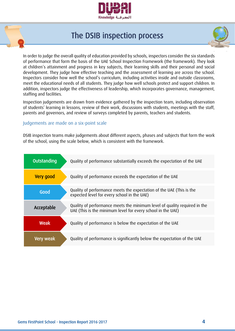

## The DSIB inspection process



In order to judge the overall quality of education provided by schools, inspectors consider the six standards of performance that form the basis of the UAE School Inspection Framework (the framework). They look at children's attainment and progress in key subjects, their learning skills and their personal and social development. They judge how effective teaching and the assessment of learning are across the school. Inspectors consider how well the school's curriculum, including activities inside and outside classrooms, meet the educational needs of all students. They judge how well schools protect and support children. In addition, inspectors judge the effectiveness of leadership, which incorporates governance, management, staffing and facilities.

Inspection judgements are drawn from evidence gathered by the inspection team, including observation of students' learning in lessons, review of their work, discussions with students, meetings with the staff, parents and governors, and review of surveys completed by parents, teachers and students.

#### Judgements are made on a six-point scale

DSIB inspection teams make judgements about different aspects, phases and subjects that form the work of the school, using the scale below, which is consistent with the framework.

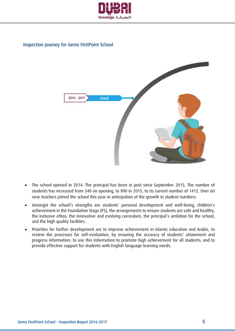

## Inspection journey for Gems FirstPoint School



- The school opened in 2014. The principal has been in post since September 2015. The number of students has increased from 340 on opening, to 890 in 2015, to its current number of 1412. Over 60 new teachers joined the school this year in anticipation of the growth in student numbers.
- Amongst the school's strengths are students' personal development and well-being, children's achievement in the Foundation Stage (FS), the arrangements to ensure students are safe and healthy, the inclusive ethos, the innovative and evolving curriculum, the principal's ambition for the school, and the high quality facilities.
- Priorities for further development are to improve achievement in Islamic education and Arabic, to review the processes for self-evaluation, by ensuring the accuracy of students' attainment and progress information; to use this information to promote high achievement for all students; and to provide effective support for students with English language learning needs.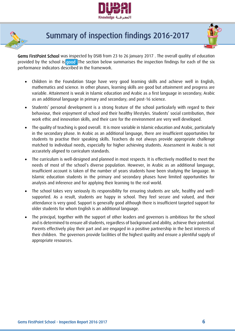



# Summary of inspection findings 2016-2017



Gems FirstPoint School was inspected by DSIB from 23 to 26 January 2017 . The overall quality of education provided by the school is good. The section below summarises the inspection findings for each of the six performance indicators described in the framework.

- Children in the Foundation Stage have very good learning skills and achieve well in English, mathematics and science. In other phases, learning skills are good but attainment and progress are variable. Attainment is weak in Islamic education and Arabic as a first language in secondary; Arabic as an additional language in primary and secondary; and post-16 science.
- Students' personal development is a strong feature of the school particularly with regard to their behaviour, their enjoyment of school and their healthy lifestyles. Students' social contribution, their work ethic and innovation skills, and their care for the environment are very well developed.
- The quality of teaching is good overall. It is more variable in Islamic education and Arabic, particularly in the secondary phase. In Arabic as an additional language, there are insufficient opportunities for students to practise their speaking skills. Teachers do not always provide appropriate challenge matched to individual needs, especially for higher achieving students. Assessment in Arabic is not accurately aligned to curriculum standards.
- The curriculum is well-designed and planned in most respects. It is effectively modified to meet the needs of most of the school's diverse population. However, in Arabic as an additional language, insufficient account is taken of the number of years students have been studying the language. In Islamic education students in the primary and secondary phases have limited opportunities for analysis and inference and for applying their learning to the real world.
- The school takes very seriously its responsibility for ensuring students are safe, healthy and wellsupported. As a result, students are happy in school. They feel secure and valued, and their attendance is very good. Support is generally good although there is insufficient targeted support for older students for whom English is an additional language.
- The principal, together with the support of other leaders and governors is ambitious for the school and is determined to ensure all students, regardless of background and ability, achieve their potential. Parents effectively play their part and are engaged in a positive partnership in the best interests of their children. The governors provide facilities of the highest quality and ensure a plentiful supply of appropriate resources.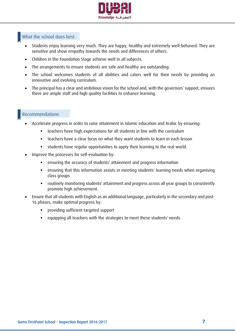

#### What the school does best

- Students enjoy learning very much. They are happy, healthy and extremely well-behaved. They are sensitive and show empathy towards the needs and differences of others.
- Children in the Foundation Stage achieve well in all subjects.
- The arrangements to ensure students are safe and healthy are outstanding.
- The school welcomes students of all abilities and caters well for their needs by providing an innovative and evolving curriculum.
- The principal has a clear and ambitious vision for the school and, with the governors' support, ensures there are ample staff and high quality facilities to enhance learning.

#### Recommendations

- Accelerate progress in order to raise attainment in Islamic education and Arabic by ensuring:
	- teachers have high expectations for all students in line with the curriculum
	- teachers have a clear focus on what they want students to learn in each lesson
	- students have regular opportunities to apply their learning to the real world.
- Improve the processes for self-evaluation by:
	- ensuring the accuracy of students' attainment and progress information
	- ensuring that this information assists in meeting students' learning needs when organising class groups
	- routinely monitoring students' attainment and progress across all year groups to consistently promote high achievement.
- Ensure that all students with English as an additional language, particularly in the secondary and post-16 phases, make optimal progress by:
	- providing sufficient targeted support
	- equipping all teachers with the strategies to meet these students' needs.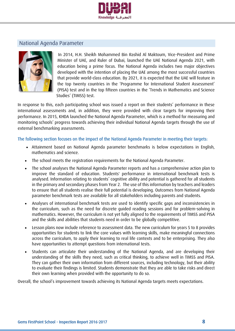

## National Agenda Parameter



In 2014, H.H. Sheikh Mohammed Bin Rashid Al Maktoum, Vice-President and Prime Minister of UAE, and Ruler of Dubai, launched the UAE National Agenda 2021, with education being a prime focus. The National Agenda includes two major objectives developed with the intention of placing the UAE among the most successful countries that provide world-class education. By 2021, it is expected that the UAE will feature in the top twenty countries in the 'Programme for International Student Assessment' (PISA) test and in the top fifteen countries in the 'Trends in Mathematics and Science Studies' (TIMSS) test.

In response to this, each participating school was issued a report on their students' performance in these international assessments and, in addition, they were provided with clear targets for improving their performance. In 2015, KHDA launched the National Agenda Parameter, which is a method for measuring and monitoring schools' progress towards achieving their individual National Agenda targets through the use of external benchmarking assessments.

#### The following section focuses on the impact of the National Agenda Parameter in meeting their targets:

- Attainment based on National Agenda parameter benchmarks is below expectations in English, mathematics and science.
- The school meets the registration requirements for the National Agenda Parameter.
- The school analyses the National Agenda Parameter reports and has a comprehensive action plan to improve the standard of education. Students' performance in international benchmark tests is analysed. Information relating to students' cognitive ability and potential is gathered for all students in the primary and secondary phases from Year 2. The use of this information by teachers and leaders to ensure that all students realise their full potential is developing. Outcomes from National Agenda parameter benchmark tests are available for all stakeholders including parents and students.
- Analyses of international benchmark tests are used to identify specific gaps and inconsistencies in the curriculum, such as the need for discrete guided reading sessions and for problem-solving in mathematics. However, the curriculum is not yet fully aligned to the requirements of TIMSS and PISA and the skills and abilities that students need in order to be globally competitive.
- Lesson plans now include reference to assessment data. The new curriculum for years 5 to 8 provides opportunities for students to link the core values with learning skills, make meaningful connections across the curriculum, to apply their learning to real life contexts and to be enterprising. They also have opportunities to attempt questions from international tests.
- Students can articulate their understanding of the National Agenda, and are developing their understanding of the skills they need, such as critical thinking, to achieve well in TIMSS and PISA. They can gather their own information from different sources, including technology, but their ability to evaluate their findings is limited. Students demonstrate that they are able to take risks and direct their own learning when provided with the opportunity to do so.

Overall, the school's improvement towards achieving its National Agenda targets meets expectations.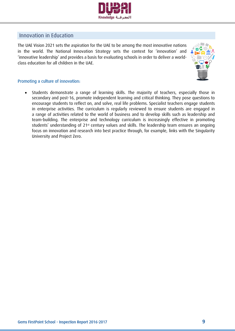

## Innovation in Education

The UAE Vision 2021 sets the aspiration for the UAE to be among the most innovative nations in the world. The National Innovation Strategy sets the context for 'innovation' and 'innovative leadership' and provides a basis for evaluating schools in order to deliver a worldclass education for all children in the UAE.



#### Promoting a culture of innovation:

 Students demonstrate a range of learning skills. The majority of teachers, especially those in secondary and post-16, promote independent learning and critical thinking. They pose questions to encourage students to reflect on, and solve, real life problems. Specialist teachers engage students in enterprise activities. The curriculum is regularly reviewed to ensure students are engaged in a range of activities related to the world of business and to develop skills such as leadership and team-building. The enterprise and technology curriculum is increasingly effective in promoting students' understanding of 21<sup>st</sup> century values and skills. The leadership team ensures an ongoing focus on innovation and research into best practice through, for example, links with the Singularity University and Project Zero.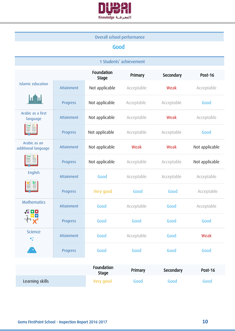

## Overall school performance

## Good

| 1 Students' achievement                                                                                                                                               |            |                            |            |            |                |
|-----------------------------------------------------------------------------------------------------------------------------------------------------------------------|------------|----------------------------|------------|------------|----------------|
|                                                                                                                                                                       |            | Foundation<br><b>Stage</b> | Primary    | Secondary  | Post-16        |
| <b>Islamic education</b>                                                                                                                                              | Attainment | Not applicable             | Acceptable | Weak       | Acceptable     |
|                                                                                                                                                                       | Progress   | Not applicable             | Acceptable | Acceptable | Good           |
| Arabic as a first<br>language                                                                                                                                         | Attainment | Not applicable             | Acceptable | Weak       | Acceptable     |
|                                                                                                                                                                       | Progress   | Not applicable             | Acceptable | Acceptable | Good           |
| Arabic as an<br>additional language                                                                                                                                   | Attainment | Not applicable             | Weak       | Weak       | Not applicable |
|                                                                                                                                                                       | Progress   | Not applicable             | Acceptable | Acceptable | Not applicable |
| English                                                                                                                                                               | Attainment | Good                       | Acceptable | Acceptable | Acceptable     |
|                                                                                                                                                                       | Progress   | Very good                  | Good       | Good       | Acceptable     |
| <b>Mathematics</b>                                                                                                                                                    | Attainment | Good                       | Acceptable | Good       | Acceptable     |
| $\begin{array}{c}\n\sqrt{x} & \mathbf{B} & \mathbf{B} \\ \hline\n\vdots & \mathbf{B} & \mathbf{B} \\ \hline\n\vdots & \mathbf{B} & \mathbf{B} \\ \hline\n\end{array}$ | Progress   | Good                       | Good       | Good       | Good           |
| <b>Science</b><br>۰.                                                                                                                                                  | Attainment | Good                       | Acceptable | Good       | Weak           |
| Æ                                                                                                                                                                     | Progress   | Good                       | Good       | Good       | Good           |
|                                                                                                                                                                       |            |                            |            |            |                |

|                 | <b>Foundation</b><br><b>Stage</b> | Primary | Secondary | <b>Post-16</b> |
|-----------------|-----------------------------------|---------|-----------|----------------|
| Learning skills | Very good                         | Good    | Good      | Good           |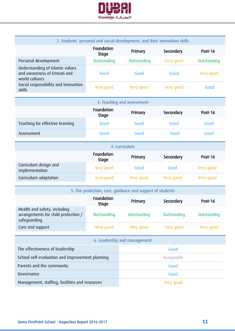

| 2. Students' personal and social development, and their innovation skills         |                            |             |           |             |
|-----------------------------------------------------------------------------------|----------------------------|-------------|-----------|-------------|
|                                                                                   | Foundation<br><b>Stage</b> | Primary     | Secondary | Post-16     |
| Personal development                                                              | Outstanding                | Outstanding | Very good | Outstanding |
| Understanding of Islamic values<br>and awareness of Emirati and<br>world cultures | Good                       | Good        | Good      | Very good   |
| Social responsibility and innovation<br>skills                                    | Very good.                 | Very good   | Very good | Good        |

| 3. Teaching and assessment      |                                   |         |           |         |
|---------------------------------|-----------------------------------|---------|-----------|---------|
|                                 | <b>Foundation</b><br><b>Stage</b> | Primary | Secondary | Post-16 |
| Teaching for effective learning | Good                              | Good    | Good      | Good    |
| Assessment                      | Good                              | Good    | Good      | Good    |

| 4. Curriculum                           |                            |           |           |           |
|-----------------------------------------|----------------------------|-----------|-----------|-----------|
|                                         | Foundation<br><b>Stage</b> | Primary   | Secondary | Post-16   |
| Curriculum design and<br>implementation | Very good.                 | Good      | Good      | Very good |
| Curriculum adaptation                   | Very good                  | Very good | Very good | Very good |

| 5. The protection, care, quidance and support of students                           |                            |                              |             |             |
|-------------------------------------------------------------------------------------|----------------------------|------------------------------|-------------|-------------|
|                                                                                     | Foundation<br><b>Stage</b> | Primary                      | Secondary   | Post-16     |
| Health and safety, including<br>arrangements for child protection /<br>safeguarding | Outstanding                | Outstanding                  | Outstanding | Outstanding |
| Care and support                                                                    | Very good                  | Very good                    | Very good   | Very good   |
|                                                                                     |                            |                              |             |             |
|                                                                                     |                            | 6. Leadership and management |             |             |
| The effectiveness of leadership                                                     | Good                       |                              |             |             |
| School self-evaluation and improvement planning                                     |                            | Acceptable                   |             |             |
| Parents and the community                                                           |                            | Good                         |             |             |
| Governance                                                                          |                            | Good                         |             |             |
| Management, staffing, facilities and resources                                      |                            | Very good                    |             |             |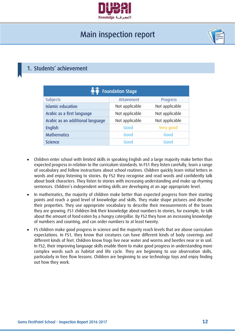

# Main inspection report



## <span id="page-11-0"></span>1. Students' achievement

| <b>Foundation Stage</b>          |                |                |  |  |
|----------------------------------|----------------|----------------|--|--|
| Subjects                         | Attainment     | Progress       |  |  |
| <b>Islamic education</b>         | Not applicable | Not applicable |  |  |
| Arabic as a first language       | Not applicable | Not applicable |  |  |
| Arabic as an additional language | Not applicable | Not applicable |  |  |
| <b>English</b>                   | Good           | Very good      |  |  |
| <b>Mathematics</b>               | Good           | Good           |  |  |
| <b>Science</b>                   | Good           | Good           |  |  |

- Children enter school with limited skills in speaking English and a large majority make better than expected progress in relation to the curriculum standards. In FS1 they listen carefully, learn a range of vocabulary and follow instructions about school routines. Children quickly learn initial letters in words and enjoy listening to stories. By FS2 they recognise and read words and confidently talk about book characters. They listen to stories with increasing understanding and make up rhyming sentences. Children's independent writing skills are developing at an age appropriate level.
- In mathematics, the majority of children make better than expected progress from their starting points and reach a good level of knowledge and skills. They make shape pictures and describe their properties. They use appropriate vocabulary to describe their measurements of the beans they are growing. FS1 children link their knowledge about numbers to stories, for example, to talk about the amount of food eaten by a hungry caterpillar. By FS2 they have an increasing knowledge of numbers and counting, and can order numbers to at least twenty.
- FS children make good progress in science and the majority reach levels that are above curriculum expectations. In FS1, they know that creatures can have different kinds of body coverings and different kinds of feet. Children know frogs live near water and worms and beetles near or in soil. In FS2, their improving language skills enable them to make good progress in understanding more complex words such as habitat and life cycle. They are beginning to use observation skills, particularly in free flow lessons. Children are beginning to use technology toys and enjoy finding out how they work.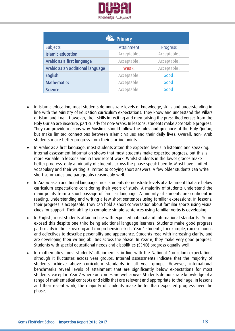

| <b>Timary</b>                    |            |            |  |  |  |
|----------------------------------|------------|------------|--|--|--|
| <b>Subjects</b>                  | Attainment | Progress   |  |  |  |
| <b>Islamic education</b>         | Acceptable | Acceptable |  |  |  |
| Arabic as a first language       | Acceptable | Acceptable |  |  |  |
| Arabic as an additional language | Weak       | Acceptable |  |  |  |
| <b>English</b>                   | Acceptable | Good       |  |  |  |
| <b>Mathematics</b>               | Acceptable | Good       |  |  |  |
| <b>Science</b>                   | Acceptable | Good       |  |  |  |

- In Islamic education, most students demonstrate levels of knowledge, skills and understanding in line with the Ministry of Education curriculum expectations. They know and understand the Pillars of Islam and Iman. However, their skills in reciting and memorising the prescribed verses from the Holy Qur'an are insecure, particularly for non-Arabs. In lessons, students make acceptable progress. They can provide reasons why Muslims should follow the rules and guidance of the Holy Qur'an, but make limited connections between Islamic values and their daily lives. Overall, non- Arab students make better progress from their starting points.
- In Arabic as a first language, most students attain the expected levels in listening and speaking. Internal assessment information shows that most students make expected progress, but this is more variable in lessons and in their recent work. Whilst students in the lower grades make better progress, only a minority of students across the phase speak fluently. Most have limited vocabulary and their writing is limited to copying short answers. A few older students can write short summaries and paragraphs reasonably well.
- In Arabic as an additional language, most students demonstrate levels of attainment that are below curriculum expectations considering their years of study. A majority of students understand the main points from a short passage of familiar language. A minority of students are confident in reading, understanding and writing a few short sentences using familiar expressions. In lessons, their progress is acceptable. They can hold a short conversation about familiar sports using visual clues for support. Their ability to complete simple sentences using familiar verbs is developing.
- In English, most students attain in line with expected national and international standards. Some exceed this despite one third being additional language learners. Students make good progress particularly in their speaking and comprehension skills. Year 1 students, for example, can use nouns and adjectives to describe personality and appearance. Students read with increasing clarity, and are developing their writing abilities across the phase. In Year 6, they make very good progress. Students with special educational needs and disabilities (SEND) progress equally well.
- In mathematics, most students' attainment is in line with the National Curriculum expectations although it fluctuates across year groups. Internal assessments indicate that the majority of students achieve above curriculum standards in all year groups. However, international benchmarks reveal levels of attainment that are significantly below expectations for most students, except in Year 2 where outcomes are well above. Students demonstrate knowledge of a range of mathematical concepts and skills that are relevant and appropriate to their age. In lessons and their recent work, the majority of students make better than expected progress over the phase.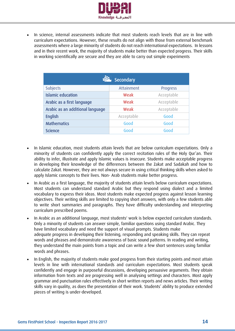

 In science, internal assessments indicate that most students reach levels that are in line with curriculum expectations. However, these results do not align with those from external benchmark assessments where a large minority of students do not reach international expectations. In lessons and in their recent work, the majority of students make better than expected progress. Their skills in working scientifically are secure and they are able to carry out simple experiments

| Secondary                        |            |            |  |  |  |
|----------------------------------|------------|------------|--|--|--|
| Subjects                         | Attainment | Progress   |  |  |  |
| <b>Islamic education</b>         | Weak       | Acceptable |  |  |  |
| Arabic as a first language       | Weak       | Acceptable |  |  |  |
| Arabic as an additional language | Weak       | Acceptable |  |  |  |
| <b>English</b>                   | Acceptable | Good       |  |  |  |
| <b>Mathematics</b>               | Good       | Good       |  |  |  |
| <b>Science</b>                   | Good       | Good       |  |  |  |

- In Islamic education, most students attain levels that are below curriculum expectations. Only a minority of students can confidently apply the correct recitation rules of the Holy Qur'an. Their ability to infer, illustrate and apply Islamic values is insecure. Students make acceptable progress in developing their knowledge of the differences between the Zakat and Sadakah and how to calculate Zakat. However, they are not always secure in using critical thinking skills when asked to apply Islamic concepts to their lives. Non- Arab students make better progress.
- In Arabic as a first language, the majority of students attain levels below curriculum expectations. Most students can understand standard Arabic but they respond using dialect and a limited vocabulary to express their ideas. Most students make expected progress against lesson learning objectives. Their writing skills are limited to copying short answers, with only a few students able to write short summaries and paragraphs. They have difficulty understanding and interpreting curriculum prescribed poems.
- In Arabic as an additional language, most students' work is below expected curriculum standards. Only a minority of students can answer simple, familiar questions using standard Arabic. They have limited vocabulary and need the support of visual prompts. Students make adequate progress in developing their listening, responding and speaking skills. They can repeat words and phrases and demonstrate awareness of basic sound patterns. In reading and writing, they understand the main points from a topic and can write a few short sentences using familiar words and phrases.
- In English, the majority of students make good progress from their starting points and most attain levels in line with international standards and curriculum expectations. Most students speak confidently and engage in purposeful discussions, developing persuasive arguments. They obtain information from texts and are progressing well in analysing settings and characters. Most apply grammar and punctuation rules effectively in short written reports and news articles. Their writing skills vary in quality, as does the presentation of their work. Students' ability to produce extended pieces of writing is under-developed.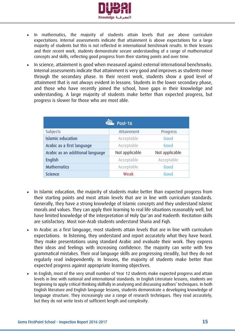

- In mathematics, the majority of students attain levels that are above curriculum expectations. Internal assessments indicate that attainment is above expectations for a large majority of students but this is not reflected in international benchmark results. In their lessons and their recent work, students demonstrate secure understanding of a range of mathematical concepts and skills, reflecting good progress from their starting points and over time.
- In science, attainment is good when measured against external international benchmarks. Internal assessments indicate that attainment is very good and improves as students move through the secondary phase. In their recent work, students show a good level of attainment that is not always evident in lessons. Students in the lower secondary phase, and those who have recently joined the school, have gaps in their knowledge and understanding. A large majority of students make better than expected progress, but progress is slower for those who are most able.

| <b>Post-16</b>                   |                |                |  |  |  |
|----------------------------------|----------------|----------------|--|--|--|
| <b>Subjects</b>                  | Attainment     | Progress       |  |  |  |
| <b>Islamic education</b>         | Acceptable     | Good           |  |  |  |
| Arabic as a first language       | Acceptable     | Good           |  |  |  |
| Arabic as an additional language | Not applicable | Not applicable |  |  |  |
| <b>English</b>                   | Acceptable     | Acceptable     |  |  |  |
| <b>Mathematics</b>               | Acceptable     | Good           |  |  |  |
| <b>Science</b>                   | Weak           | Good           |  |  |  |

- In Islamic education, the majority of students make better than expected progress from their starting points and most attain levels that are in line with curriculum standards. Generally, they have a strong knowledge of Islamic concepts and they understand Islamic morals and values. They can apply their learning to real life situations reasonably well, but have limited knowledge of the interpretation of Holy Qur'an and Hadeeth. Recitation skills are satisfactory. Most non-Arab students understand Sharia and Fiqh.
- In Arabic as a first language, most students attain levels that are in line with curriculum expectations. In listening, they understand and report accurately what they have heard. They make presentations using standard Arabic and evaluate their work. They express their ideas and feelings with increasing confidence. The majority can write with few grammatical mistakes. Their oral language skills are progressing steadily, but they do not regularly read independently. In lessons, the majority of students make better than expected progress against appropriate learning objectives.
- In English, most of the very small number of Year 12 students make expected progress and attain levels in line with national and international standards. In English Literature lessons, students are beginning to apply critical thinking skilfully in analysing and discussing authors' techniques. In both English literature and English language lessons, students demonstrate a developing knowledge of language structure. They increasingly use a range of research techniques. They read accurately, but they do not write texts of sufficient length and complexity.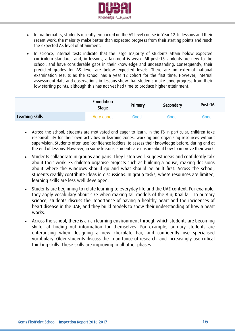

- In mathematics, students recently embarked on the AS level course in Year 12. In lessons and their recent work, the majority make better than expected progress from their starting points and reach the expected AS level of attainment.
- In science, internal tests indicate that the large majority of students attain below expected curriculum standards and, in lessons, attainment is weak. All post-16 students are new to the school, and have considerable gaps in their knowledge and understanding. Consequently, their predicted grades for AS level are below expected levels. There are no external national examination results as the school has a year 12 cohort for the first time. However, internal assessment data and observations in lessons show that students make good progress from their low starting points, although this has not yet had time to produce higher attainment.

|                 | Foundation<br><b>Stage</b> | Primary | Secondary | Post-16 |
|-----------------|----------------------------|---------|-----------|---------|
| Learning skills | Very good                  | Good    | Good      | Good    |

- Across the school, students are motivated and eager to learn. In the FS in particular, children take responsibility for their own activities in learning zones, working and organising resources without supervision. Students often use 'confidence ladders' to assess their knowledge before, during and at the end of lessons. However, in some lessons, students are unsure about how to improve their work.
- Students collaborate in groups and pairs. They listen well, suggest ideas and confidently talk about their work. FS children organise projects such as building a house, making decisions about where the windows should go and what should be built first. Across the school, students readily contribute ideas in discussions. In group tasks, where resources are limited, learning skills are less well developed.
- Students are beginning to relate learning to everyday life and the UAE context. For example, they apply vocabulary about size when making tall models of the Burj Khalifa. In primary science, students discuss the importance of having a healthy heart and the incidences of heart disease in the UAE, and they build models to show their understanding of how a heart works.
- Across the school, there is a rich learning environment through which students are becoming skilful at finding out information for themselves. For example, primary students are enterprising when designing a new chocolate bar, and confidently use specialised vocabulary. Older students discuss the importance of research, and increasingly use critical thinking skills. These skills are improving in all other phases.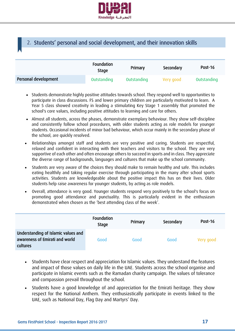

## <span id="page-16-0"></span>2. Students' personal and social development, and their innovation skills

|                      | <b>Foundation</b><br><b>Stage</b> | Primary     | Secondary | Post-16     |
|----------------------|-----------------------------------|-------------|-----------|-------------|
| Personal development | Outstanding                       | Outstanding | Very good | Outstanding |

- Students demonstrate highly positive attitudes towards school. They respond well to opportunities to participate in class discussions. FS and lower primary children are particularly motivated to learn. A Year 5 class showed creativity in leading a stimulating Key Stage 1 assembly that promoted the school's core values, including positive attitudes to learning and care for others.
- Almost all students, across the phases, demonstrate exemplary behaviour. They show self-discipline and consistently follow school procedures, with older students acting as role models for younger students. Occasional incidents of minor bad behaviour, which occur mainly in the secondary phase of the school, are quickly resolved.
- Relationships amongst staff and students are very positive and caring. Students are respectful, relaxed and confident in interacting with their teachers and visitors to the school. They are very supportive of each other and often encourage others to succeed in sports and in class. They appreciate the diverse range of backgrounds, languages and cultures that make up the school community.
- Students are very aware of the choices they should make to remain healthy and safe. This includes eating healthily and taking regular exercise through participating in the many after school sports activities. Students are knowledgeable about the positive impact this has on their lives. Older students help raise awareness for younger students, by acting as role models.
- Overall, attendance is very good. Younger students respond very positively to the school's focus on promoting good attendance and punctuality. This is particularly evident in the enthusiasm demonstrated when chosen as the 'best attending class of the week'.

|                                                                                   | <b>Foundation</b><br><b>Stage</b> | Primary | Secondary | Post-16   |
|-----------------------------------------------------------------------------------|-----------------------------------|---------|-----------|-----------|
| Understanding of Islamic values and<br>awareness of Emirati and world<br>cultures | Good                              | Good    | Good      | Very good |

- Students have clear respect and appreciation for Islamic values. They understand the features and impact of those values on daily life in the UAE. Students across the school organise and participate in Islamic events such as the Ramadan charity campaign. The values of tolerance and compassion prevail throughout the school.
- Students have a good knowledge of and appreciation for the Emirati heritage. They show respect for the National Anthem. They enthusiastically participate in events linked to the UAE, such as National Day, Flag Day and Martyrs' Day.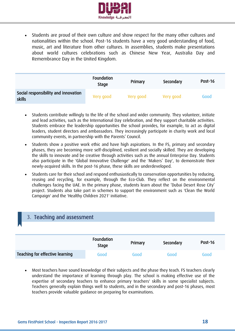

 Students are proud of their own culture and show respect for the many other cultures and nationalities within the school. Post-16 students have a very good understanding of food, music, art and literature from other cultures. In assemblies, students make presentations about world cultures celebrations such as Chinese New Year, Australia Day and Remembrance Day in the United Kingdom.

|                                                | Foundation<br><b>Stage</b> | Primary   | Secondary | Post-16 |
|------------------------------------------------|----------------------------|-----------|-----------|---------|
| Social responsibility and innovation<br>skills | Very good                  | Very good | Very good | Good    |

- Students contribute willingly to the life of the school and wider community. They volunteer, initiate and lead activities, such as the International Day celebration, and they support charitable activities. Students embrace the leadership opportunities the school provides, for example, to act as digital leaders, student directors and ambassadors. They increasingly participate in charity work and local community events, in partnership with the Parents' Council.
- Students show a positive work ethic and have high aspirations. In the FS, primary and secondary phases, they are becoming more self-disciplined, resilient and socially skilled. They are developing the skills to innovate and be creative through activities such as the annual Enterprise Day. Students also participate in the 'Global Innovative Challenge' and the 'Makers' Day', to demonstrate their newly-acquired skills. In the post-16 phase, these skills are underdeveloped.
- Students care for their school and respond enthusiastically to conservation opportunities by reducing, reusing and recycling, for example, through the Eco-Club. They reflect on the environmental challenges facing the UAE. In the primary phase, students learn about the 'Dubai Desert Rose City' project. Students also take part in schemes to support the environment such as 'Clean the World Campaign' and the 'Healthy Children 2021' initiative.

<span id="page-17-0"></span>

| 3. Teaching and assessment      |                            |         |           |         |
|---------------------------------|----------------------------|---------|-----------|---------|
|                                 |                            |         |           |         |
|                                 | Foundation<br><b>Stage</b> | Primary | Secondary | Post-16 |
| Teaching for effective learning | Good                       | Good    | Good      | Good    |

 Most teachers have sound knowledge of their subjects and the phase they teach. FS teachers clearly understand the importance of learning through play. The school is making effective use of the expertise of secondary teachers to enhance primary teachers' skills in some specialist subjects. Teachers generally explain things well to students, and in the secondary and post-16 phases, most teachers provide valuable guidance on preparing for examinations.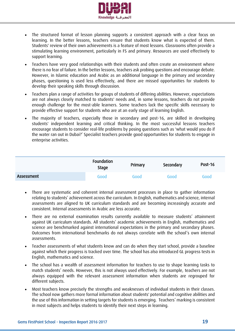

- The structured format of lesson planning supports a consistent approach with a clear focus on learning. In the better lessons, teachers ensure that students know what is expected of them. Students' review of their own achievements is a feature of most lessons. Classrooms often provide a stimulating learning environment, particularly in FS and primary. Resources are used effectively to support learning.
- Teachers have very good relationships with their students and often create an environment where there is no fear of failure. In the better lessons, teachers ask probing questions and encourage debate. However, in Islamic education and Arabic as an additional language in the primary and secondary phases, questioning is used less effectively, and there are missed opportunities for students to develop their speaking skills through discussion.
- Teachers plan a range of activities for groups of students of differing abilities. However, expectations are not always closely matched to students' needs and, in some lessons, teachers do not provide enough challenge for the most-able learners. Some teachers lack the specific skills necessary to provide effective support for students who are at an early stage of learning English.
- The majority of teachers, especially those in secondary and post-16, are skilled in developing students' independent learning and critical thinking. In the most successful lessons teachers encourage students to consider real-life problems by posing questions such as 'what would you do if the water ran out in Dubai?' Specialist teachers provide good opportunities for students to engage in enterprise activities.

|            | Foundation<br><b>Stage</b> | Primary | Secondary | <b>Post-16</b> |
|------------|----------------------------|---------|-----------|----------------|
| Assessment | Good                       | Good    | Good      | Good           |

- There are systematic and coherent internal assessment processes in place to gather information relating to students' achievement across the curriculum. In English, mathematics and science, internal assessments are aligned to UK curriculum standards and are becoming increasingly accurate and consistent. Internal assessments in Arabic are less accurate.
- There are no external examination results currently available to measure students' attainment against UK curriculum standards. All students' academic achievements in English, mathematics and science are benchmarked against international expectations in the primary and secondary phases. Outcomes from international benchmarks do not always correlate with the school's own internal assessments.
- Teacher assessments of what students know and can do when they start school, provide a baseline against which their progress is tracked over time. The school has also introduced GL progress tests in English, mathematics and science.
- The school has a wealth of assessment information for teachers to use to shape learning tasks to match students' needs. However, this is not always used effectively. For example, teachers are not always equipped with the relevant assessment information when students are regrouped for different subjects.
- Most teachers know precisely the strengths and weaknesses of individual students in their classes. The school now gathers more formal information about students' potential and cognitive abilities and the use of this information in setting targets for students is emerging. Teachers' marking is consistent in most subjects and helps students to identify their next steps in learning.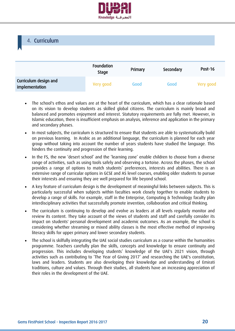

<span id="page-19-0"></span>

|                                         | Foundation<br><b>Stage</b> | Primary | Secondary | Post-16   |
|-----------------------------------------|----------------------------|---------|-----------|-----------|
| Curriculum design and<br>implementation | Very good.                 | Good    | Good      | Very good |

- The school's ethos and values are at the heart of the curriculum, which has a clear rationale based on its vision to develop students as skilled global citizens. The curriculum is mainly broad and balanced and promotes enjoyment and interest. Statutory requirements are fully met. However, in Islamic education, there is insufficient emphasis on analysis, inference and application in the primary and secondary phases.
- In most subjects, the curriculum is structured to ensure that students are able to systematically build on previous learning. In Arabic as an additional language, the curriculum is planned for each year group without taking into account the number of years students have studied the language. This hinders the continuity and progression of their learning.
- In the FS, the new 'desert school' and the 'learning zone' enable children to choose from a diverse range of activities, such as using tools safely and observing a tortoise. Across the phases, the school provides a range of options to match students' preferences, interests and abilities. There is an extensive range of curricular options in GCSE and AS level courses, enabling older students to pursue their interests and ensuring they are well prepared for life beyond school.
- A key feature of curriculum design is the development of meaningful links between subjects. This is particularly successful when subjects within faculties work closely together to enable students to develop a range of skills. For example, staff in the Enterprise, Computing & Technology faculty plan interdisciplinary activities that successfully promote invention, collaboration and critical thinking.
- The curriculum is continuing to develop and evolve as leaders at all levels regularly monitor and review its content. They take account of the views of students and staff and carefully consider its impact on students' personal development and academic outcomes. As an example, the school is considering whether streaming or mixed ability classes is the most effective method of improving literacy skills for upper primary and lower secondary students.
- The school is skilfully integrating the UAE social studies curriculum as a course within the humanities programme. Teachers carefully plan the skills, concepts and knowledge to ensure continuity and progression. This includes developing students' knowledge of the UAE's 2021 vision, through activities such as contributing to 'The Year of Giving 2017' and researching the UAE's constitution, laws and leaders. Students are also developing their knowledge and understanding of Emirati traditions, culture and values. Through their studies, all students have an increasing appreciation of their roles in the development of the UAE.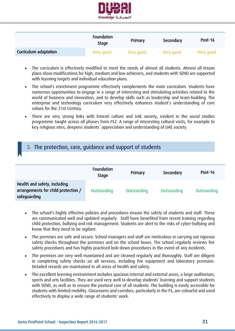

|                       | Foundation<br><b>Stage</b> | Primary   | Secondary | Post-16   |
|-----------------------|----------------------------|-----------|-----------|-----------|
| Curriculum adaptation | Very good                  | Very good | Very good | Very good |

- The curriculum is effectively modified to meet the needs of almost all students. Almost all lesson plans show modifications for high, medium and low achievers, and students with SEND are supported with learning targets and individual education plans.
- The school's enrichment programme effectively complements the main curriculum. Students have numerous opportunities to engage in a range of interesting and stimulating activities related to the world of business and innovation, and to develop skills such as leadership and team-building. The enterprise and technology curriculum very effectively enhances student's understanding of core values for the 21st Century.
- There are very strong links with Emirati culture and UAE society, evident in the social studies programme taught across all phases from FS2. A range of interesting cultural visits, for example to key religious sites, deepens students' appreciation and understanding of UAE society.

## <span id="page-20-0"></span>5. The protection, care, guidance and support of students

|                                                                                     | <b>Foundation</b><br><b>Stage</b> | Primary     | Secondary   | Post-16     |
|-------------------------------------------------------------------------------------|-----------------------------------|-------------|-------------|-------------|
| Health and safety, including<br>arrangements for child protection /<br>safeguarding | Outstanding                       | Outstanding | Outstanding | Outstanding |

- The school's highly effective policies and procedures ensure the safety of students and staff. These are communicated well and updated regularly. Staff have benefited from recent training regarding child protection, bullying and risk management. Students are alert to the risks of cyber-bullying and know that they need to be vigilant.
- The premises are safe and secure. School managers and staff are meticulous in carrying out rigorous safety checks throughout the premises and on the school buses. The school regularly reviews fire safety procedures and has highly practiced lock-down procedures in the event of any incidents.
- The premises are very well maintained and are cleaned regularly and thoroughly. Staff are diligent in completing safety checks on all services, including fire equipment and laboratory provision. Detailed records are maintained in all areas of health and safety.
- The excellent learning environment includes spacious internal and external areas, a large auditorium, sports and arts facilities. They are used very well to develop students' learning and support students with SEND, as well as to ensure the pastoral care of all students. The building is easily accessible for students with limited mobility. Classrooms and corridors, particularly in the FS, are colourful and used effectively to display a wide range of students' work.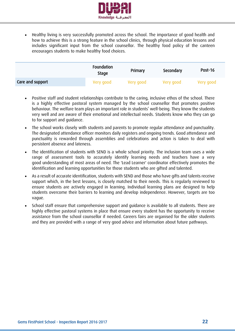

 Healthy living is very successfully promoted across the school. The importance of good health and how to achieve this is a strong feature in the school clinics, through physical education lessons and includes significant input from the school counsellor. The healthy food policy of the canteen encourages students to make healthy food choices.

|                  | <b>Foundation</b><br><b>Stage</b> | Primary    | Secondary | Post-16   |
|------------------|-----------------------------------|------------|-----------|-----------|
| Care and support | Very good                         | Very good. | Very good | Very good |

- Positive staff and student relationships contribute to the caring, inclusive ethos of the school. There is a highly effective pastoral system managed by the school counsellor that promotes positive behaviour. The welfare team plays an important role in students' well-being. They know the students very well and are aware of their emotional and intellectual needs. Students know who they can go to for support and guidance.
- The school works closely with students and parents to promote regular attendance and punctuality. The designated attendance officer monitors daily registers and ongoing trends. Good attendance and punctuality is rewarded through assemblies and celebrations and action is taken to deal with persistent absence and lateness.
- The identification of students with SEND is a whole school priority. The inclusion team uses a wide range of assessment tools to accurately identify learning needs and teachers have a very good understanding of most areas of need. The 'Lead Learner' coordinator effectively promotes the identification and learning opportunities for those students who are gifted and talented.
- As a result of accurate identification, students with SEND and those who have gifts and talents receive support which, in the best lessons, is closely matched to their needs. This is regularly reviewed to ensure students are actively engaged in learning. Individual learning plans are designed to help students overcome their barriers to learning and develop independence. However, targets are too vague.
- School staff ensure that comprehensive support and guidance is available to all students. There are highly effective pastoral systems in place that ensure every student has the opportunity to receive assistance from the school counsellor if needed. Careers fairs are organised for the older students and they are provided with a range of very good advice and information about future pathways.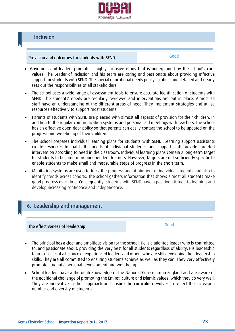

## <span id="page-22-0"></span>Inclusion

#### Provision and outcomes for students with SEND

Good

- Governors and leaders promote a highly inclusive ethos that is underpinned by the school's core values. The Leader of Inclusion and his team are caring and passionate about providing effective support for students with SEND. The special educational needs policy is robust and detailed and clearly sets out the responsibilities of all stakeholders.
- The school uses a wide range of assessment tools to ensure accurate identification of students with SEND. The students' needs are regularly reviewed and interventions are put in place. Almost all staff have an understanding of the different areas of need. They implement strategies and utilise resources effectively to support most students.
- Parents of students with SEND are pleased with almost all aspects of provision for their children. In addition to the regular communication systems and personalised meetings with teachers, the school has an effective open-door policy so that parents can easily contact the school to be updated on the progress and well-being of their children.
- The school prepares individual learning plans for students with SEND. Learning support assistants create resources to match the needs of individual students, and support staff provide targeted intervention according to need in the classroom. Individual learning plans contain a long-term target for students to become more independent learners. However, targets are not sufficiently specific to enable students to make small and measurable steps of progress in the short term.
- Monitoring systems are used to track the progress and attainment of individual students and also to identify trends across cohorts. The school gathers information that shows almost all students make good progress over time. Consequently, students with SEND have a positive attitude to learning and develop increasing confidence and independence.

## <span id="page-22-1"></span>6. Leadership and management

#### The effectiveness of leadership

Good

- The principal has a clear and ambitious vision for the school. He is a talented leader who is committed to, and passionate about, providing the very best for all students regardless of ability. His leadership team consists of a balance of experienced leaders and others who are still developing their leadership skills. They are all committed to ensuring students achieve as well as they can. They very effectively promote students' personal development and well-being.
- School leaders have a thorough knowledge of the National Curriculum in England and are aware of the additional challenge of promoting the Emirati culture and Islamic values, which they do very well. They are innovative in their approach and ensure the curriculum evolves to reflect the increasing number and diversity of students.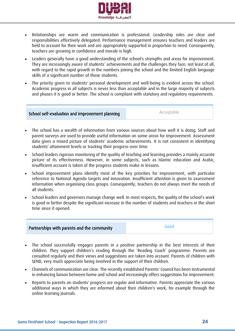

- Relationships are warm and communication is professional. Leadership roles are clear and responsibilities effectively delegated. Performance management ensures teachers and leaders are held to account for their work and are appropriately supported in proportion to need. Consequently, teachers are growing in confidence and morale is high.
- Leaders generally have a good understanding of the school's strengths and areas for improvement. They are increasingly aware of students' achievements and the challenges they face, not least of all, with regard to the rapid growth in the numbers joining the school and the limited English language skills of a significant number of those students.
- The priority given to students' personal development and well-being is evident across the school. Academic progress in all subjects is never less than acceptable and in the large majority of subjects and phases it is good or better. The school is compliant with statutory and regulatory requirements.

#### School self-evaluation and improvement planning

Acceptable

- The school has a wealth of information from various sources about how well it is doing. Staff and parent surveys are used to provide useful information on some areas for improvement. Assessment data gives a mixed picture of students' academic achievements. It is not consistent in identifying students' attainment levels or tracking their progress over time.
- School leaders rigorous monitoring of the quality of teaching and learning provides a mainly accurate picture of its effectiveness. However, in some subjects, such as Islamic education and Arabic, insufficient account is taken of the progress students make in lessons.
- School improvement plans identify most of the key priorities for improvement, with particular reference to National Agenda targets and innovation. Insufficient attention is given to assessment information when organising class groups. Consequently, teachers do not always meet the needs of all students.
- School leaders and governors manage change well. In most respects, the quality of the school's work is good or better despite the significant increase in the number of students and teachers in the short time since it opened.



- The school successfully engages parents in a positive partnership in the best interests of their children. They support children's reading through the 'Reading Coach' programme. Parents are consulted regularly and their views and suggestions are taken into account. Parents of children with SEND, very much appreciate being involved in the support of their children.
- Channels of communication are clear. The recently established Parents' Council has been instrumental in enhancing liaison between home and school and increasingly offers suggestions for improvement.
- Reports to parents on students' progress are regular and informative. Parents appreciate the various additional ways in which they are informed about their children's work, for example through the online learning journals.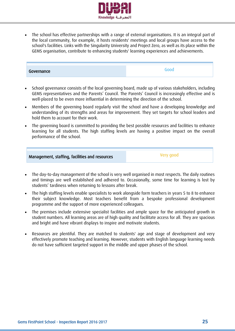

 The school has effective partnerships with a range of external organisations. It is an integral part of the local community, for example, it hosts residents' meetings and local groups have access to the school's facilities. Links with the Singularity University and Project Zero, as well as its place within the GEMS organisation, contribute to enhancing students' learning experiences and achievements.

| Governance | $\sim$ |
|------------|--------|

- School governance consists of the local governing board, made up of various stakeholders, including GEMS representatives and the Parents' Council. The Parents' Council is increasingly effective and is well-placed to be even more influential in determining the direction of the school.
- Members of the governing board regularly visit the school and have a developing knowledge and understanding of its strengths and areas for improvement. They set targets for school leaders and hold them to account for their work.
- The governing board is committed to providing the best possible resources and facilities to enhance learning for all students. The high staffing levels are having a positive impact on the overall performance of the school.

| Management, staffing, facilities and resources | Very good |
|------------------------------------------------|-----------|
|------------------------------------------------|-----------|

- The day-to-day management of the school is very well organised in most respects. The daily routines and timings are well established and adhered to. Occasionally, some time for learning is lost by students' tardiness when returning to lessons after break.
- The high staffing levels enable specialists to work alongside form teachers in years 5 to 8 to enhance their subject knowledge. Most teachers benefit from a bespoke professional development programme and the support of more experienced colleagues.
- The premises include extensive specialist facilities and ample space for the anticipated growth in student numbers. All learning areas are of high quality and facilitate access for all. They are spacious and bright and have vibrant displays to inspire and motivate students.
- Resources are plentiful. They are matched to students' age and stage of development and very effectively promote teaching and learning. However, students with English language learning needs do not have sufficient targeted support in the middle and upper phases of the school.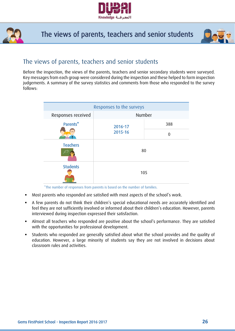



The views of parents, teachers and senior students



## The views of parents, teachers and senior students

Before the inspection, the views of the parents, teachers and senior secondary students were surveyed. Key messages from each group were considered during the inspection and these helped to form inspection judgements. A summary of the survey statistics and comments from those who responded to the survey follows:

| Responses to the surveys |                    |     |  |  |
|--------------------------|--------------------|-----|--|--|
| Responses received       | Number             |     |  |  |
| Parents*                 | 2016-17<br>2015-16 | 388 |  |  |
|                          |                    | 0   |  |  |
| <b>Teachers</b>          | 80                 |     |  |  |
| <b>Students</b>          | 105                |     |  |  |

\*The number of responses from parents is based on the number of families.

- Most parents who responded are satisfied with most aspects of the school's work.
- A few parents do not think their children's special educational needs are accurately identified and feel they are not sufficiently involved or informed about their children's education. However, parents interviewed during inspection expressed their satisfaction.
- Almost all teachers who responded are positive about the school's performance. They are satisfied with the opportunities for professional development.
- Students who responded are generally satisfied about what the school provides and the quality of education. However, a large minority of students say they are not involved in decisions about classroom rules and activities.